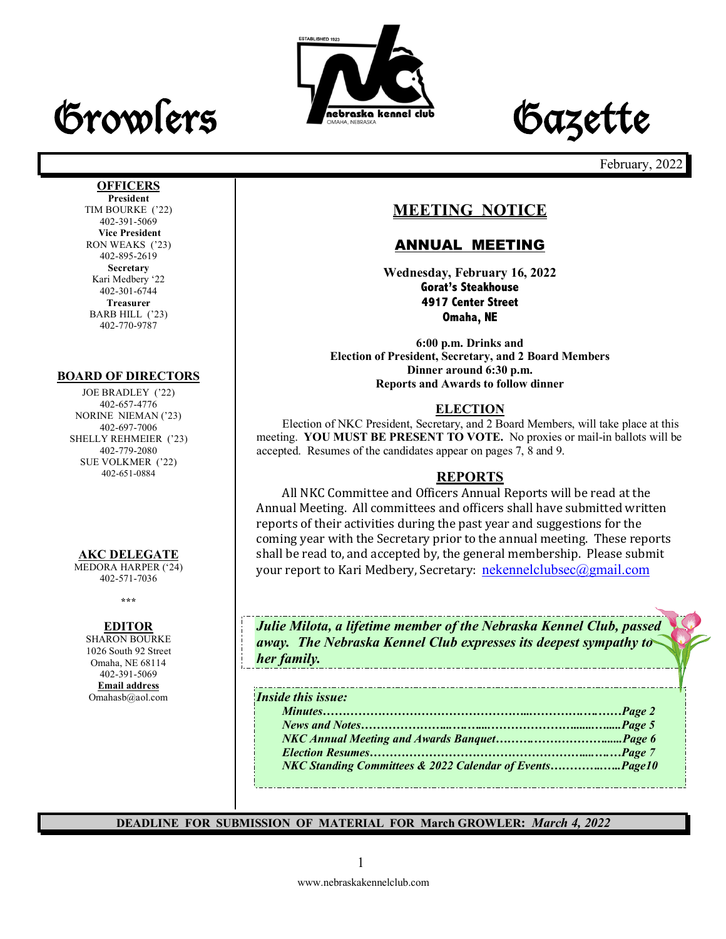# Growlers **Freehoute Cazette**





February, 2022

# **MEETING NOTICE**

### ANNUAL MEETING

**Wednesday, February 16, 2022 Gorat's Steakhouse 4917 Center Street Omaha, NE**

**6:00 p.m. Drinks and Election of President, Secretary, and 2 Board Members Dinner around 6:30 p.m. Reports and Awards to follow dinner**

### **ELECTION**

Election of NKC President, Secretary, and 2 Board Members, will take place at this meeting. **YOU MUST BE PRESENT TO VOTE.** No proxies or mail-in ballots will be accepted. Resumes of the candidates appear on pages 7, 8 and 9.

### **REPORTS**

All NKC Committee and Officers Annual Reports will be read at the Annual Meeting. All committees and officers shall have submitted written reports of their activities during the past year and suggestions for the coming year with the Secretary prior to the annual meeting. These reports shall be read to, and accepted by, the general membership. Please submit your report to Kari Medbery, Secretary: nekennelclubsec@gmail.com

*Julie Milota, a lifetime member of the Nebraska Kennel Club, passed away. The Nebraska Kennel Club expresses its deepest sympathy to her family.*

#### *Inside this issue:*

*Minutes……………………………………………...………….….……Page 2 News and Notes…………………...….…....………………….......….....Page 5 NKC Annual Meeting and Awards Banquet……….………………......Page 6 Election Resumes………………………………………………....….…Page 7 NKC Standing Committees & 2022 Calendar of Events…………..…..Page10*

**DEADLINE FOR SUBMISSION OF MATERIAL FOR March GROWLER:** *March 4, 2022*

#### **OFFICERS President**

TIM BOURKE ('22) 402-391-5069 **Vice President** RON WEAKS ('23) 402-895-2619 **Secretary** Kari Medbery '22 402-301-6744 **Treasurer** BARB HILL ('23) 402-770-9787

#### **BOARD OF DIRECTORS**

JOE BRADLEY ('22) 402-657-4776 NORINE NIEMAN ('23) 402-697-7006 SHELLY REHMEIER ('23) 402-779-2080 SUE VOLKMER ('22) 402-651-0884

### **AKC DELEGATE**

MEDORA HARPER ('24) 402-571-7036

**\*\*\***

### **EDITOR**

SHARON BOURKE 1026 South 92 Street Omaha, NE 68114 402-391-5069 **Email address** Omahasb@aol.com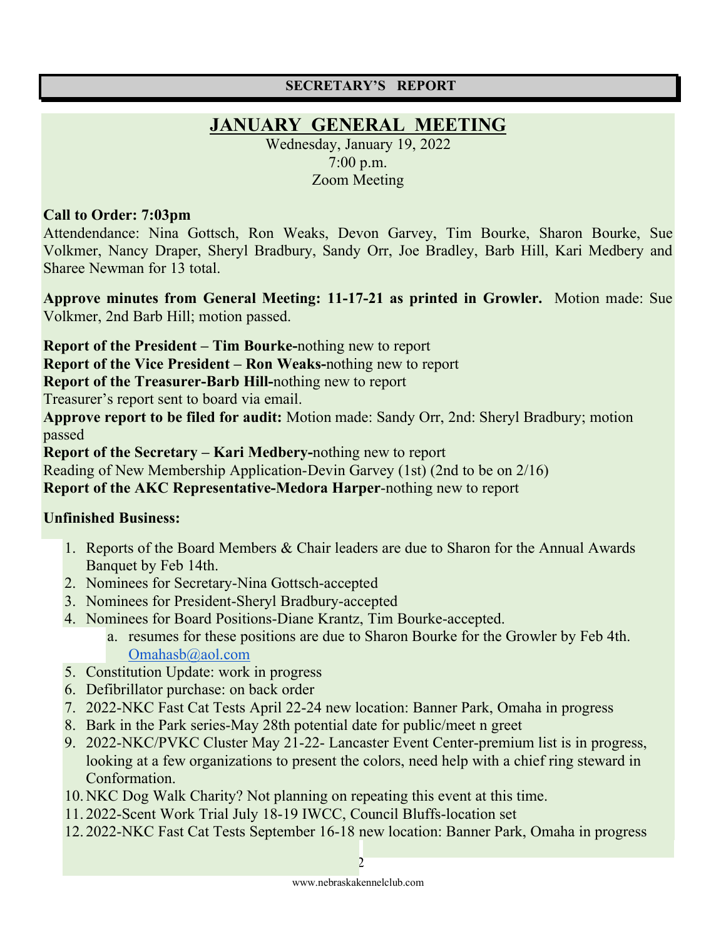### **SECRETARY'S REPORT**

# **JANUARY GENERAL MEETING**

Wednesday, January 19, 2022 7:00 p.m. Zoom Meeting

### **Call to Order: 7:03pm**

Attendendance: Nina Gottsch, Ron Weaks, Devon Garvey, Tim Bourke, Sharon Bourke, Sue Volkmer, Nancy Draper, Sheryl Bradbury, Sandy Orr, Joe Bradley, Barb Hill, Kari Medbery and Sharee Newman for 13 total.

**Approve minutes from General Meeting: 11-17-21 as printed in Growler.** Motion made: Sue Volkmer, 2nd Barb Hill; motion passed.

**Report of the President – Tim Bourke-**nothing new to report

**Report of the Vice President – Ron Weaks-**nothing new to report

**Report of the Treasurer-Barb Hill-**nothing new to report

Treasurer's report sent to board via email.

**Approve report to be filed for audit:** Motion made: Sandy Orr, 2nd: Sheryl Bradbury; motion passed

**Report of the Secretary – Kari Medbery-**nothing new to report

Reading of New Membership Application-Devin Garvey (1st) (2nd to be on 2/16)

**Report of the AKC Representative-Medora Harper**-nothing new to report

# **Unfinished Business:**

- 1. Reports of the Board Members & Chair leaders are due to Sharon for the Annual Awards Banquet by Feb 14th.
- 2. Nominees for Secretary-Nina Gottsch-accepted
- 3. Nominees for President-Sheryl Bradbury-accepted
- 4. Nominees for Board Positions-Diane Krantz, Tim Bourke-accepted.
	- a. resumes for these positions are due to Sharon Bourke for the Growler by Feb 4th. Omahasb@aol.com
- 5. Constitution Update: work in progress
- 6. Defibrillator purchase: on back order
- 7. 2022-NKC Fast Cat Tests April 22-24 new location: Banner Park, Omaha in progress
- 8. Bark in the Park series-May 28th potential date for public/meet n greet
- 9. 2022-NKC/PVKC Cluster May 21-22- Lancaster Event Center-premium list is in progress, looking at a few organizations to present the colors, need help with a chief ring steward in Conformation.
- 10.NKC Dog Walk Charity? Not planning on repeating this event at this time.
- 11. 2022-Scent Work Trial July 18-19 IWCC, Council Bluffs-location set
- 12. 2022-NKC Fast Cat Tests September 16-18 new location: Banner Park, Omaha in progress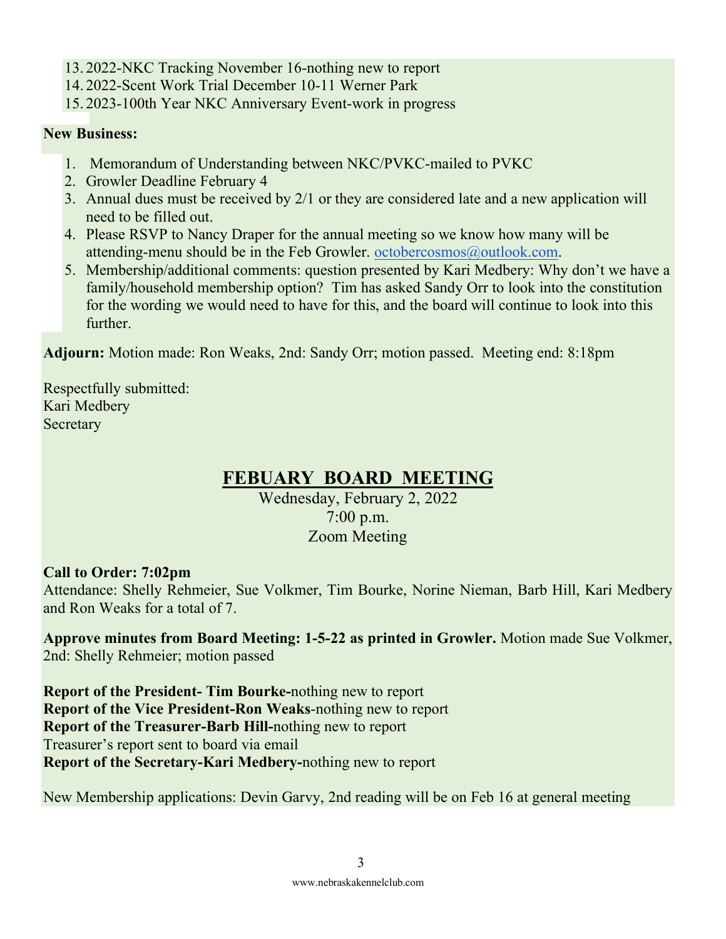- 13. 2022-NKC Tracking November 16-nothing new to report
- 14. 2022-Scent Work Trial December 10-11 Werner Park
- 15. 2023-100th Year NKC Anniversary Event-work in progress

# **New Business:**

- 1. Memorandum of Understanding between NKC/PVKC-mailed to PVKC
- 2. Growler Deadline February 4
- 3. Annual dues must be received by 2/1 or they are considered late and a new application will need to be filled out.
- 4. Please RSVP to Nancy Draper for the annual meeting so we know how many will be attending-menu should be in the Feb Growler. octobercosmos@outlook.com.
- 5. Membership/additional comments: question presented by Kari Medbery: Why don't we have a family/household membership option? Tim has asked Sandy Orr to look into the constitution for the wording we would need to have for this, and the board will continue to look into this further.

**Adjourn:** Motion made: Ron Weaks, 2nd: Sandy Orr; motion passed. Meeting end: 8:18pm

Respectfully submitted: Kari Medbery **Secretary** 

# **FEBUARY BOARD MEETING**

Wednesday, February 2, 2022 7:00 p.m. Zoom Meeting

# **Call to Order: 7:02pm**

Attendance: Shelly Rehmeier, Sue Volkmer, Tim Bourke, Norine Nieman, Barb Hill, Kari Medbery and Ron Weaks for a total of 7.

**Approve minutes from Board Meeting: 1-5-22 as printed in Growler.** Motion made Sue Volkmer, 2nd: Shelly Rehmeier; motion passed

**Report of the President- Tim Bourke-**nothing new to report **Report of the Vice President-Ron Weaks**-nothing new to report **Report of the Treasurer-Barb Hill-**nothing new to report Treasurer's report sent to board via email **Report of the Secretary-Kari Medbery-**nothing new to report

New Membership applications: Devin Garvy, 2nd reading will be on Feb 16 at general meeting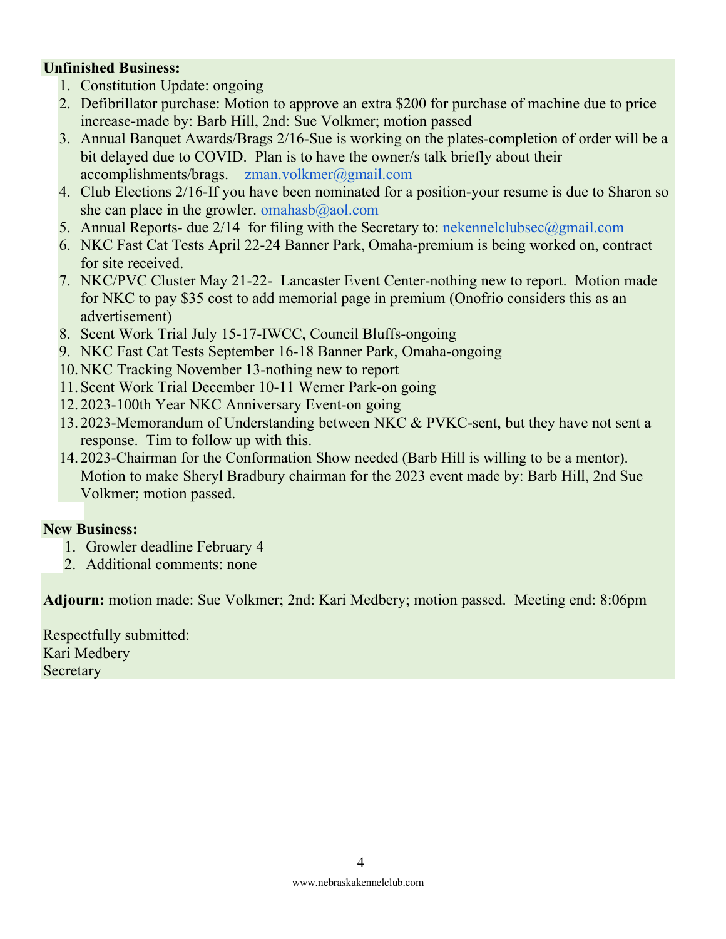### **Unfinished Business:**

- 1. Constitution Update: ongoing
- 2. Defibrillator purchase: Motion to approve an extra \$200 for purchase of machine due to price increase-made by: Barb Hill, 2nd: Sue Volkmer; motion passed
- 3. Annual Banquet Awards/Brags 2/16-Sue is working on the plates-completion of order will be a bit delayed due to COVID. Plan is to have the owner/s talk briefly about their accomplishments/brags. zman.volkmer@gmail.com
- 4. Club Elections 2/16-If you have been nominated for a position-your resume is due to Sharon so she can place in the growler. omahasb $@$ aol.com
- 5. Annual Reports- due 2/14 for filing with the Secretary to: nekennelclubsec@gmail.com
- 6. NKC Fast Cat Tests April 22-24 Banner Park, Omaha-premium is being worked on, contract for site received.
- 7. NKC/PVC Cluster May 21-22- Lancaster Event Center-nothing new to report. Motion made for NKC to pay \$35 cost to add memorial page in premium (Onofrio considers this as an advertisement)
- 8. Scent Work Trial July 15-17-IWCC, Council Bluffs-ongoing
- 9. NKC Fast Cat Tests September 16-18 Banner Park, Omaha-ongoing
- 10.NKC Tracking November 13-nothing new to report
- 11.Scent Work Trial December 10-11 Werner Park-on going
- 12. 2023-100th Year NKC Anniversary Event-on going
- 13. 2023-Memorandum of Understanding between NKC & PVKC-sent, but they have not sent a response. Tim to follow up with this.
- 14. 2023-Chairman for the Conformation Show needed (Barb Hill is willing to be a mentor). Motion to make Sheryl Bradbury chairman for the 2023 event made by: Barb Hill, 2nd Sue Volkmer; motion passed.

### **New Business:**

- 1. Growler deadline February 4
- 2. Additional comments: none

**Adjourn:** motion made: Sue Volkmer; 2nd: Kari Medbery; motion passed. Meeting end: 8:06pm

Respectfully submitted: Kari Medbery **Secretary**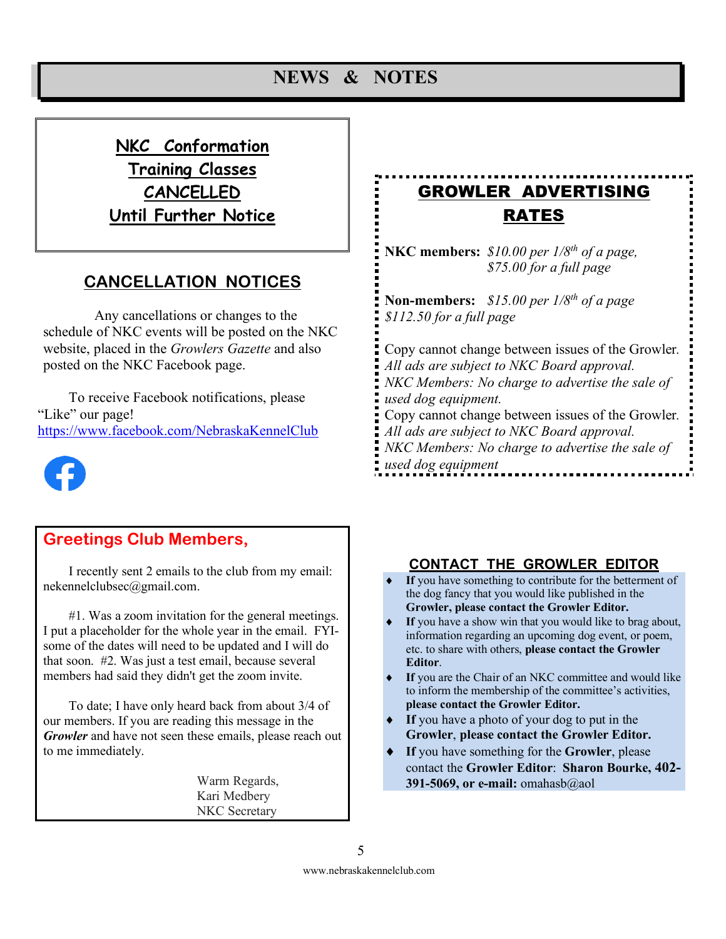# **NEWS & NOTES**

# **NKC Conformation Training Classes CANCELLED Until Further Notice**

# **CANCELLATION NOTICES**

Any cancellations or changes to the schedule of NKC events will be posted on the NKC website, placed in the *Growlers Gazette* and also posted on the NKC Facebook page.

To receive Facebook notifications, please "Like" our page! https://www.facebook.com/NebraskaKennelClub



# **Greetings Club Members,**

I recently sent 2 emails to the club from my email: nekennelclubsec@gmail.com.

#1. Was a zoom invitation for the general meetings. I put a placeholder for the whole year in the email. FYIsome of the dates will need to be updated and I will do that soon. #2. Was just a test email, because several members had said they didn't get the zoom invite.

To date; I have only heard back from about 3/4 of our members. If you are reading this message in the *Growler* and have not seen these emails, please reach out to me immediately.

> Warm Regards, Kari Medbery NKC Secretary

# GROWLER ADVERTISING RATES

**NKC members:** *\$10.00 per 1/8th of a page, \$75.00 for a full page* 

**Non-members:** *\$15.00 per 1/8th of a page \$112.50 for a full page*

Copy cannot change between issues of the Growler*. All ads are subject to NKC Board approval. NKC Members: No charge to advertise the sale of used dog equipment.* Copy cannot change between issues of the Growler*. All ads are subject to NKC Board approval. NKC Members: No charge to advertise the sale of used dog equipment*

### **CONTACT THE GROWLER EDITOR**

- If you have something to contribute for the betterment of the dog fancy that you would like published in the **Growler, please contact the Growler Editor.**
- If you have a show win that you would like to brag about, information regarding an upcoming dog event, or poem, etc. to share with others, **please contact the Growler Editor**.
- If you are the Chair of an NKC committee and would like to inform the membership of the committee's activities, **please contact the Growler Editor.**
- If you have a photo of your dog to put in the **Growler**, **please contact the Growler Editor.**
- If you have something for the **Growler**, please contact the **Growler Editor**: **Sharon Bourke, 402- 391-5069, or e-mail:** omahasb@aol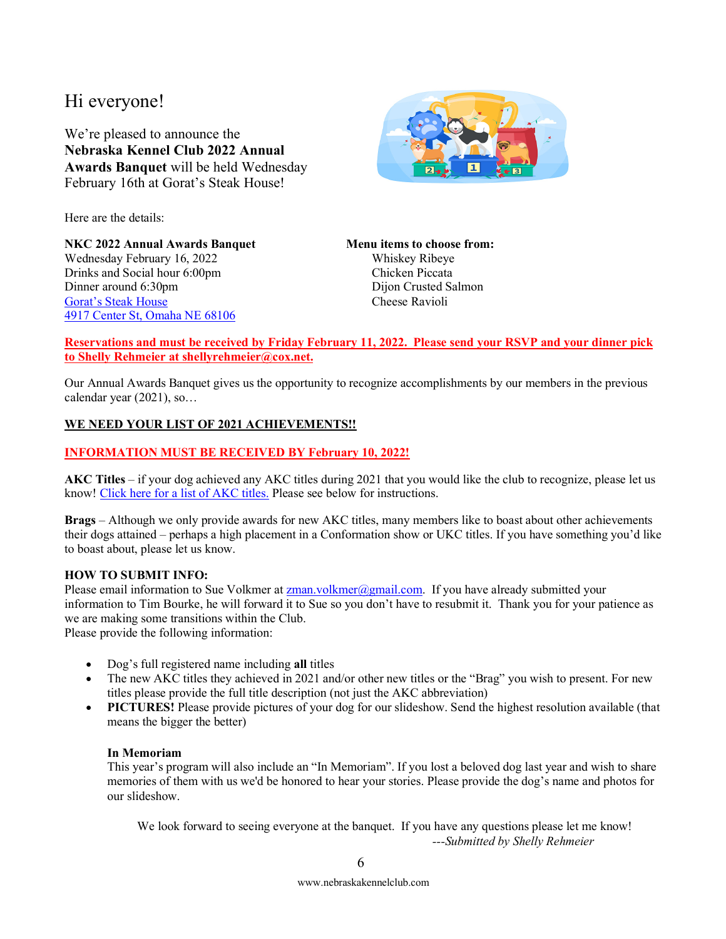# Hi everyone!

We're pleased to announce the **Nebraska Kennel Club 2022 Annual Awards Banquet** will be held Wednesday February 16th at Gorat's Steak House!



Here are the details:

**NKC 2022 Annual Awards Banquet Menu items to choose from:** Wednesday February 16, 2022 Whiskey Ribeye Drinks and Social hour 6:00pm Chicken Piccata Dinner around 6:30pm Gorat's Steak House Cheese Ravioli 4917 Center St, Omaha NE 68106

#### **Reservations and must be received by Friday February 11, 2022. Please send your RSVP and your dinner pick to Shelly Rehmeier at shellyrehmeier@cox.net.**

Our Annual Awards Banquet gives us the opportunity to recognize accomplishments by our members in the previous calendar year (2021), so…

### **WE NEED YOUR LIST OF 2021 ACHIEVEMENTS!!**

### **INFORMATION MUST BE RECEIVED BY February 10, 2022!**

**AKC Titles** – if your dog achieved any AKC titles during 2021 that you would like the club to recognize, please let us know! Click here for a list of AKC titles. Please see below for instructions.

**Brags** – Although we only provide awards for new AKC titles, many members like to boast about other achievements their dogs attained – perhaps a high placement in a Conformation show or UKC titles. If you have something you'd like to boast about, please let us know.

#### **HOW TO SUBMIT INFO:**

Please email information to Sue Volkmer at **zman**.volkmer@gmail.com. If you have already submitted your information to Tim Bourke, he will forward it to Sue so you don't have to resubmit it. Thank you for your patience as we are making some transitions within the Club.

Please provide the following information:

- Dog's full registered name including **all** titles
- The new AKC titles they achieved in 2021 and/or other new titles or the "Brag" you wish to present. For new titles please provide the full title description (not just the AKC abbreviation)
- **PICTURES!** Please provide pictures of your dog for our slideshow. Send the highest resolution available (that means the bigger the better)

### **In Memoriam**

This year's program will also include an "In Memoriam". If you lost a beloved dog last year and wish to share memories of them with us we'd be honored to hear your stories. Please provide the dog's name and photos for our slideshow.

We look forward to seeing everyone at the banquet. If you have any questions please let me know! *---Submitted by Shelly Rehmeier*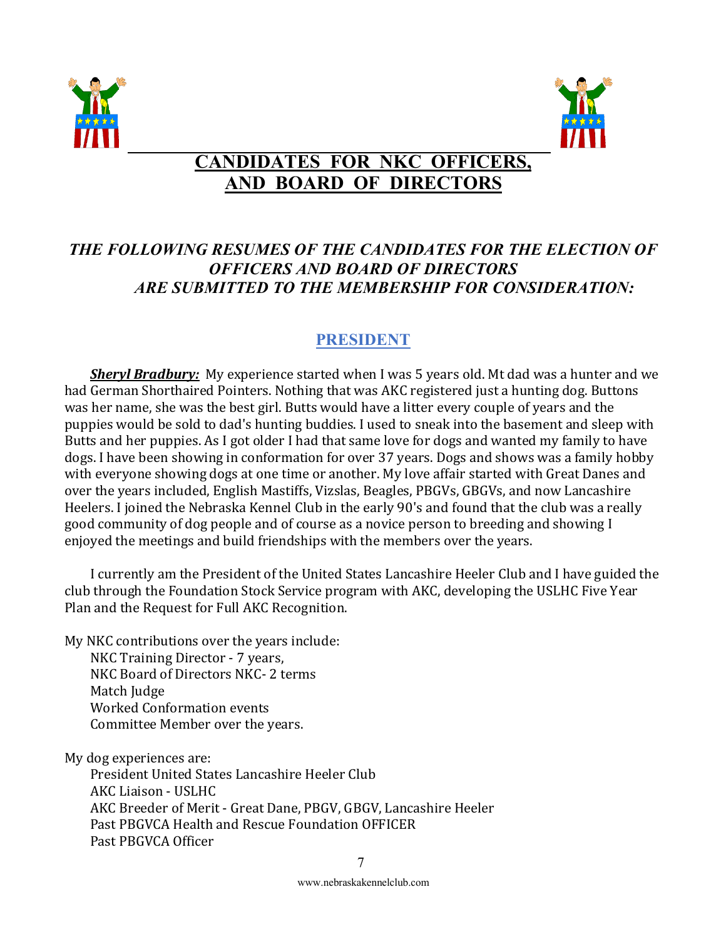



# **CANDIDATES FOR NKC OFFICERS, AND BOARD OF DIRECTORS**

# *THE FOLLOWING RESUMES OF THE CANDIDATES FOR THE ELECTION OF OFFICERS AND BOARD OF DIRECTORS ARE SUBMITTED TO THE MEMBERSHIP FOR CONSIDERATION:*

# **PRESIDENT**

*Sheryl Bradbury:* My experience started when I was 5 years old. Mt dad was a hunter and we had German Shorthaired Pointers. Nothing that was AKC registered just a hunting dog. Buttons was her name, she was the best girl. Butts would have a litter every couple of years and the puppies would be sold to dad's hunting buddies. I used to sneak into the basement and sleep with Butts and her puppies. As I got older I had that same love for dogs and wanted my family to have dogs. I have been showing in conformation for over 37 years. Dogs and shows was a family hobby with everyone showing dogs at one time or another. My love affair started with Great Danes and over the years included, English Mastiffs, Vizslas, Beagles, PBGVs, GBGVs, and now Lancashire Heelers. I joined the Nebraska Kennel Club in the early 90's and found that the club was a really good community of dog people and of course as a novice person to breeding and showing I enjoyed the meetings and build friendships with the members over the years.

I currently am the President of the United States Lancashire Heeler Club and I have guided the club through the Foundation Stock Service program with AKC, developing the USLHC Five Year Plan and the Request for Full AKC Recognition.

My NKC contributions over the years include:

NKC Training Director - 7 years, NKC Board of Directors NKC- 2 terms Match Judge Worked Conformation events Committee Member over the years.

My dog experiences are:

President United States Lancashire Heeler Club AKC Liaison - USLHC AKC Breeder of Merit - Great Dane, PBGV, GBGV, Lancashire Heeler Past PBGVCA Health and Rescue Foundation OFFICER Past PBGVCA Officer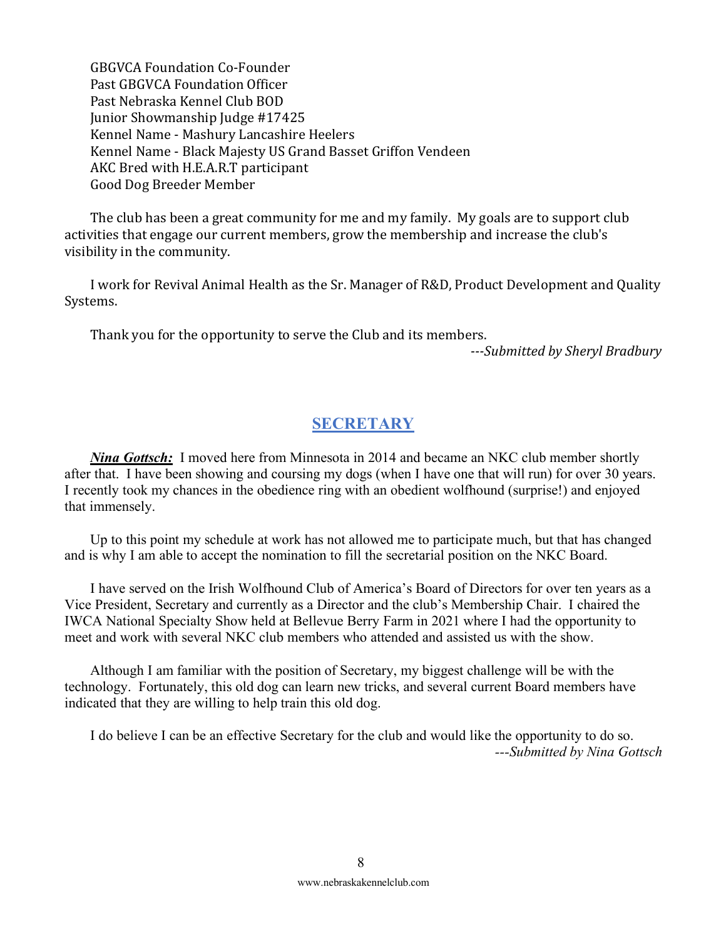GBGVCA Foundation Co-Founder Past GBGVCA Foundation Officer Past Nebraska Kennel Club BOD Junior Showmanship Judge #17425 Kennel Name - Mashury Lancashire Heelers Kennel Name - Black Majesty US Grand Basset Griffon Vendeen AKC Bred with H.E.A.R.T participant Good Dog Breeder Member

The club has been a great community for me and my family. My goals are to support club activities that engage our current members, grow the membership and increase the club's visibility in the community.

I work for Revival Animal Health as the Sr. Manager of R&D, Product Development and Quality Systems.

Thank you for the opportunity to serve the Club and its members.

*---Submitted by Sheryl Bradbury*

# **SECRETARY**

*Nina Gottsch*: I moved here from Minnesota in 2014 and became an NKC club member shortly after that. I have been showing and coursing my dogs (when I have one that will run) for over 30 years. I recently took my chances in the obedience ring with an obedient wolfhound (surprise!) and enjoyed that immensely.

Up to this point my schedule at work has not allowed me to participate much, but that has changed and is why I am able to accept the nomination to fill the secretarial position on the NKC Board.

I have served on the Irish Wolfhound Club of America's Board of Directors for over ten years as a Vice President, Secretary and currently as a Director and the club's Membership Chair. I chaired the IWCA National Specialty Show held at Bellevue Berry Farm in 2021 where I had the opportunity to meet and work with several NKC club members who attended and assisted us with the show.

Although I am familiar with the position of Secretary, my biggest challenge will be with the technology. Fortunately, this old dog can learn new tricks, and several current Board members have indicated that they are willing to help train this old dog.

I do believe I can be an effective Secretary for the club and would like the opportunity to do so. *---Submitted by Nina Gottsch*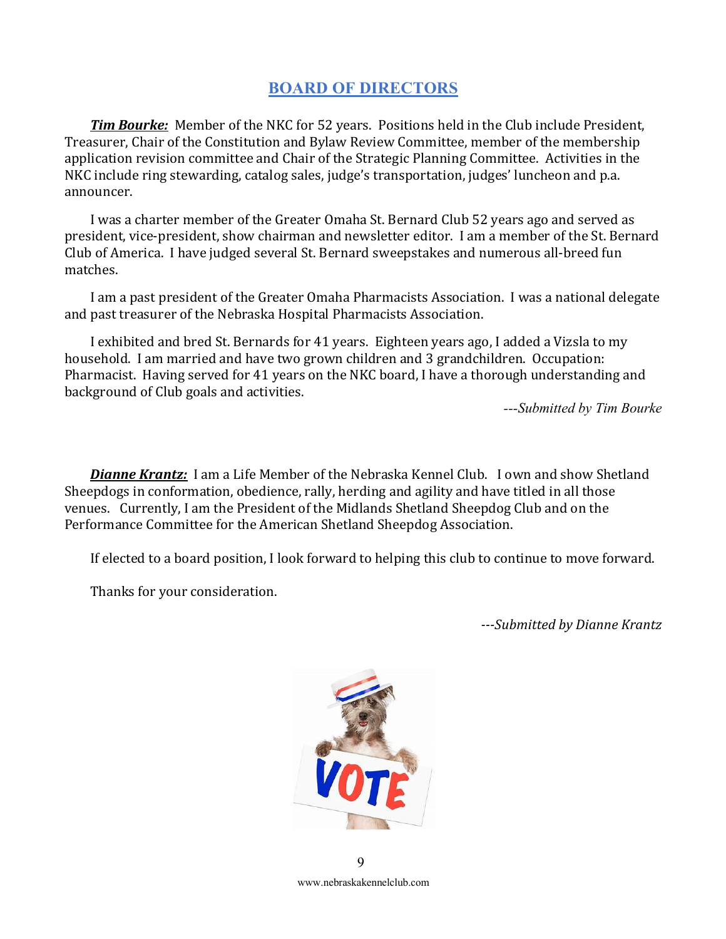# **BOARD OF DIRECTORS**

*Tim Bourke:* Member of the NKC for 52 years. Positions held in the Club include President, Treasurer, Chair of the Constitution and Bylaw Review Committee, member of the membership application revision committee and Chair of the Strategic Planning Committee. Activities in the NKC include ring stewarding, catalog sales, judge's transportation, judges' luncheon and p.a. announcer. 

I was a charter member of the Greater Omaha St. Bernard Club 52 years ago and served as president, vice-president, show chairman and newsletter editor. I am a member of the St. Bernard Club of America. I have judged several St. Bernard sweepstakes and numerous all-breed fun matches. 

I am a past president of the Greater Omaha Pharmacists Association. I was a national delegate and past treasurer of the Nebraska Hospital Pharmacists Association.

I exhibited and bred St. Bernards for 41 years. Eighteen years ago, I added a Vizsla to my household. I am married and have two grown children and 3 grandchildren. Occupation: Pharmacist. Having served for 41 years on the NKC board, I have a thorough understanding and background of Club goals and activities.

*---Submitted by Tim Bourke*

**Dianne Krantz:** I am a Life Member of the Nebraska Kennel Club. I own and show Shetland Sheepdogs in conformation, obedience, rally, herding and agility and have titled in all those venues. Currently, I am the President of the Midlands Shetland Sheepdog Club and on the Performance Committee for the American Shetland Sheepdog Association.

If elected to a board position, I look forward to helping this club to continue to move forward.

Thanks for your consideration.

*---Submitted by Dianne Krantz*



www.nebraskakennelclub.com  $\overline{Q}$